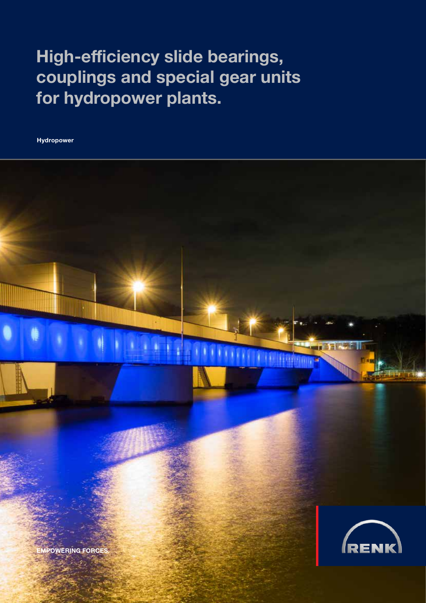# High-efficiency slide bearings, couplings and special gear units for hydropower plants.

Hydropower

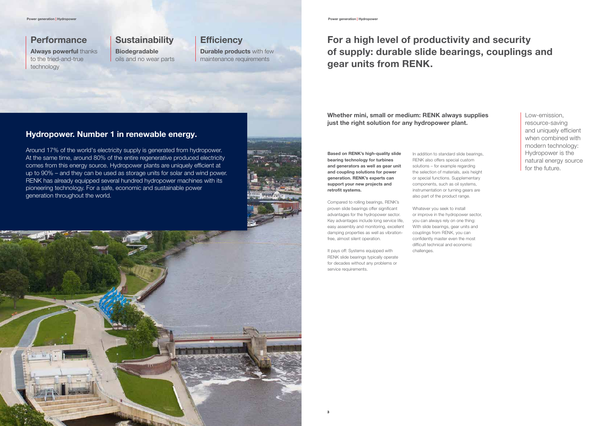## **Performance**

## Hydropower. Number 1 in renewable energy.

Around 17% of the world's electricity supply is generated from hydropower. At the same time, around 80% of the entire regenerative produced electricity comes from this energy source. Hydropower plants are uniquely efficient at up to 90% – and they can be used as storage units for solar and wind power. RENK has already equipped several hundred hydropower machines with its pioneering technology. For a safe, economic and sustainable power generation throughout the world.



**Durable products with few** maintenance requirements

Always powerful thanks to the tried-and-true technology

# **Sustainability**

Biodegradable oils and no wear parts

# **Efficiency**

Low-emission, resource-saving and uniquely efficient when combined with modern technology: Hydropower is the natural energy source for the future.

# For a high level of productivity and security of supply: durable slide bearings, couplings and gear units from RENK.

Based on RENK's high-quality slide bearing technology for turbines and generators as well as gear unit and coupling solutions for power generation. RENK's experts can support your new projects and retrofit systems.

Compared to rolling bearings, RENK's proven slide bearings offer significant advantages for the hydropower sector. Key advantages include long service life, easy assembly and monitoring, excellent damping properties as well as vibrationfree, almost silent operation.

It pays off: Systems equipped with RENK slide bearings typically operate for decades without any problems or service requirements.

In addition to standard slide bearings, RENK also offers special custom solutions – for example regarding the selection of materials, axis height or special functions. Supplementary components, such as oil systems, instrumentation or turning gears are also part of the product range.

Whatever you seek to install or improve in the hydropower sector, you can always rely on one thing: With slide bearings, gear units and couplings from RENK, you can confidently master even the most difficult technical and economic challenges.

Whether mini, small or medium: RENK always supplies just the right solution for any hydropower plant.

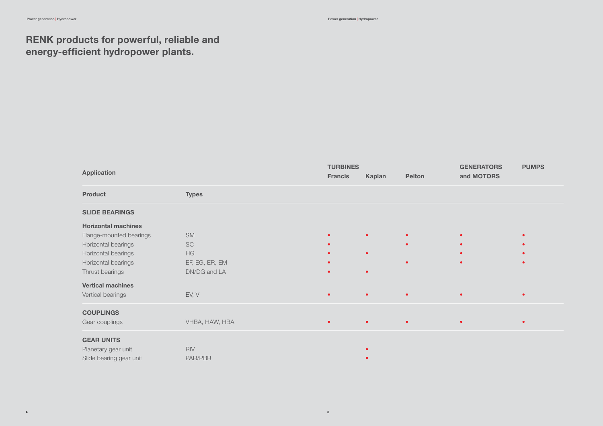| <b>Application</b>         |                | <b>Francis</b> | <b>TURBINES</b><br>Pelton<br><b>Kaplan</b> |           | <b>GENERATORS</b><br>and MOTORS | <b>PUMPS</b> |
|----------------------------|----------------|----------------|--------------------------------------------|-----------|---------------------------------|--------------|
| <b>Product</b>             | <b>Types</b>   |                |                                            |           |                                 |              |
| <b>SLIDE BEARINGS</b>      |                |                |                                            |           |                                 |              |
| <b>Horizontal machines</b> |                |                |                                            |           |                                 |              |
| Flange-mounted bearings    | <b>SM</b>      |                | $\bullet$                                  |           | $\bullet$                       |              |
| Horizontal bearings        | SC             |                |                                            | $\bullet$ | $\bullet$                       |              |
| Horizontal bearings        | HG             |                | $\bullet$                                  |           |                                 |              |
| Horizontal bearings        | EF, EG, ER, EM |                |                                            |           |                                 |              |
| Thrust bearings            | DN/DG and LA   | $\bullet$      | $\bullet$                                  |           |                                 |              |
| <b>Vertical machines</b>   |                |                |                                            |           |                                 |              |
| Vertical bearings          | EV, V          | $\bullet$      | $\bullet$                                  | $\bullet$ | $\bullet$                       |              |
| <b>COUPLINGS</b>           |                |                |                                            |           |                                 |              |
| Gear couplings             | VHBA, HAW, HBA | $\bullet$      | $\bullet$                                  | $\bullet$ | $\bullet$                       |              |
| <b>GEAR UNITS</b>          |                |                |                                            |           |                                 |              |
| Planetary gear unit        | <b>RIV</b>     |                |                                            |           |                                 |              |
| Slide bearing gear unit    | PAR/PBR        |                |                                            |           |                                 |              |

4 for the contract of the contract of the contract of the contract of the contract of the contract of the contract of the contract of the contract of the contract of the contract of the contract of the contract of the con



# RENK products for powerful, reliable and energy-efficient hydropower plants.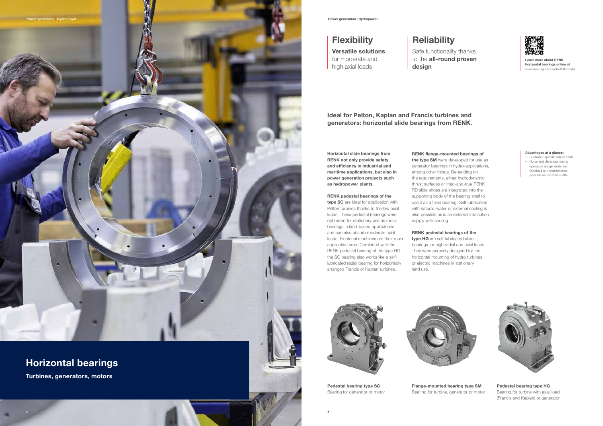

Learn more about RENK horizontal bearings online at www.renk-ag.com/goto/X-9abfed4

Pedestal bearing type SC Bearing for generator or motor



## Pedestal bearing type HG

Bearing for turbine with axial load (Francis and Kaplan) or generator

Flange-mounted bearing type SM Bearing for turbine, generator or motor



# Horizontal bearings

Turbines, generators, motors

# **Flexibility**

Ideal for Pelton, Kaplan and Francis turbines and generators: horizontal slide bearings from RENK.

Safe functionality thanks to the all-round proven design

Versatile solutions for moderate and high axial loads

# **Reliability**

type SC are ideal for application with Pelton turbines thanks to the low axial loads. These pedestal bearings were optimized for stationary use as radial bearings in land-based applications and can also absorb moderate axial loads. Electrical machines are their main application area. Combined with the RENK pedestal bearing of the type HG, the SC bearing also works like a selflubricated radial bearing for horizontally arranged Francis or Kaplan turbines.

Horizontal slide bearings from RENK not only provide safety and efficiency in industrial and maritime applications, but also in power generation projects such as hydropower plants.

### RENK pedestal bearings of the

type HG are self-lubricated slide bearings for high radial and axial loads. They were primarily designed for the horizontal mounting of hydro turbines or electric machines in stationary land use.



## RENK flange-mounted bearings of

the type SM were developed for use as generator bearings in hydro-applications, among other things. Depending on the requirements, either hydrodynamic thrust surfaces or tried-and-true RENK RD slide shoes are integrated into the supporting body of the bearing shell to use it as a fixed bearing. Self-lubrication with natural, water or external cooling is also possible as is an external lubrication supply with cooling.

## RENK pedestal bearings of the

### Advantages at a glance:

- Customer-specific adjustments – Noise and vibrations during
- operation are generally low – Overhaul and maintenance possible on installed shafts

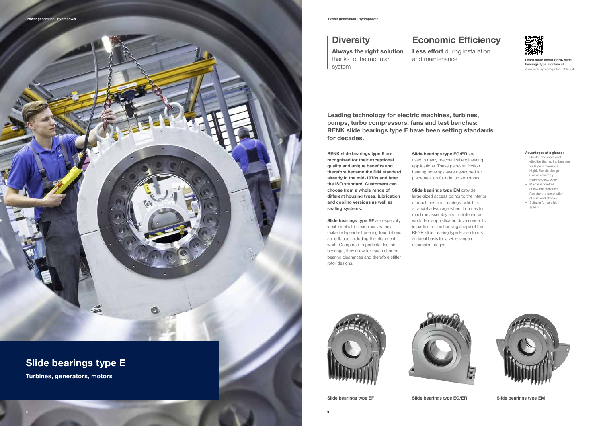

# Slide bearings type E

Turbines, generators, motors

## **Diversity**

Learn more about RENK slide bearings type E online at www.renk-ag.com/goto/U-f0f4664



### Advantages at a glance:

- Quieter and more costeffective than rolling bearings for large dimensions
- Highly flexible design
- Simple assembly
- Extremely low wear
- Maintenance-free or low-maintenance
- Resistant to penetration
- of dust and shocks – Suitable for very high speeds



Slide bearings type EF are especially ideal for electric machines as they make independent bearing foundations superfluous, including the alignment work. Compared to pedestal friction bearings, they allow for much shorter bearing clearances and therefore stiffer rotor designs.

Slide bearings type EG/ER are

RENK slide bearings type E are recognized for their exceptional quality and unique benefits and therefore became the DIN standard already in the mid-1970s and later the ISO standard. Customers can choose from a whole range of different housing types, lubrication and cooling versions as well as sealing systems.

Slide bearings type EM provide large-sized access points to the interior of machines and bearings, which is a crucial advantage when it comes to machine assembly and maintenance work. For sophisticated drive concepts in particular, the housing shape of the RENK slide bearing type E also forms an ideal basis for a wide range of expansion stages.





Less effort during installation and maintenance

used in many mechanical engineering applications. These pedestal friction bearing housings were developed for placement on foundation structures.

Leading technology for electric machines, turbines, pumps, turbo compressors, fans and test benches: RENK slide bearings type E have been setting standards for decades.

# Economic Efficiency

Always the right solution thanks to the modular system

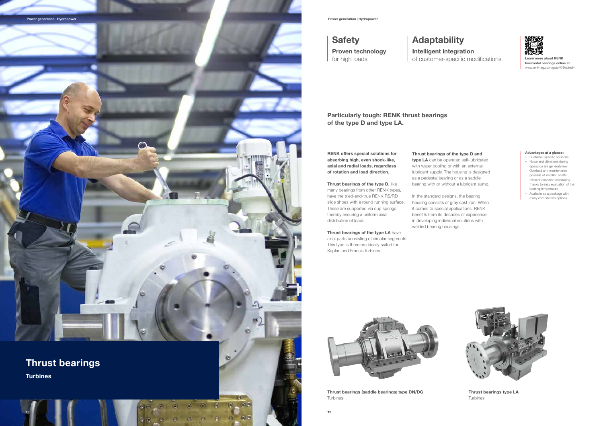Learn more about RENK horizontal bearings online at www.renk-ag.com/goto/X-9abfed4

Thrust bearings (saddle bearings) type DN/DG Turbines



### Thrust bearings type LA Turbines

### Advantages at a glance:

- Customer specific solutions – Noise and vibrations during
- operation are generally low – Overhaul and maintenance
- possible at installed shafts – Efficient condition monitoring
- thanks to easy evaluation of the bearing temperature
- Available as a package with many combination options



Thrust bearings of the type D, like many bearings from other RENK types, have the tried-and-true RENK RS/RD slide shoes with a round running surface. These are supported via cup springs, thereby ensuring a uniform axial distribution of loads.

Thrust bearings of the type LA have axial parts consisting of circular segments. This type is therefore ideally suited for Kaplan and Francis turbines.

RENK offers special solutions for absorbing high, even shock-like, axial and radial loads, regardless of rotation and load direction.



## **Safety**

Thrust bearings of the type D and type LA can be operated self-lubricated with water cooling or with an external lubricant supply. The housing is designed as a pedestal bearing or as a saddle bearing with or without a lubricant sump.

In the standard designs, the bearing housing consists of gray cast iron. When it comes to special applications, RENK benefits from its decades of experience in developing individual solutions with welded bearing housings.



Particularly tough: RENK thrust bearings of the type D and type LA.

## Adaptability Intelligent integration of customer-specific modifications

Proven technology for high loads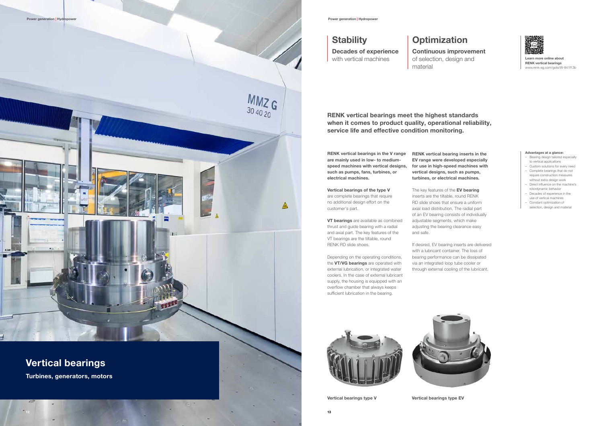

# Vertical bearings

Turbines, generators, motors

# **Stability**

Learn more online about RENK vertical bearings www.renk-ag.com/goto/W-841f13b

### Advantages at a glance:

## **Optimization** Continuous improvement of selection, design and

- Bearing design tailored especially to vertical applications
- Custom solutions for every need – Complete bearings that do not require construction measures
- without extra design work – Direct influence on the machine's rotordynamic behavior
- Decades of experience in the
- use of vertical machines – Constant optimization of selection, design and material

**VT bearings** are available as combined thrust and guide bearing with a radial and axial part. The key features of the VT bearings are the tiltable, round RENK RD slide shoes.

material

## Decades of experience with vertical machines

RENK vertical bearings meet the highest standards when it comes to product quality, operational reliability, service life and effective condition monitoring.

RENK vertical bearings in the V range are mainly used in low- to mediumspeed machines with vertical designs, such as pumps, fans, turbines, or electrical machines.

> The key features of the **EV bearing** inserts are the tiltable, round RENK RD slide shoes that ensure a uniform axial load distribution. The radial part of an EV bearing consists of individually adjustable segments, which make adjusting the bearing clearance easy and safe.

Vertical bearings of the type V are complete bearings that require no additional design effort on the customer's part.

Depending on the operating conditions, the VT/VG bearings are operated with external lubrication, or integrated water coolers. In the case of external lubricant supply, the housing is equipped with an overflow chamber that always keeps sufficient lubrication in the bearing.

RENK vertical bearing inserts in the EV range were developed especially for use in high-speed machines with vertical designs, such as pumps, turbines, or electrical machines.

If desired, EV bearing inserts are delivered with a lubricant container. The loss of bearing performance can be dissipated via an integrated loop tube cooler or through external cooling of the lubricant.



Vertical bearings type V Vertical bearings type EV



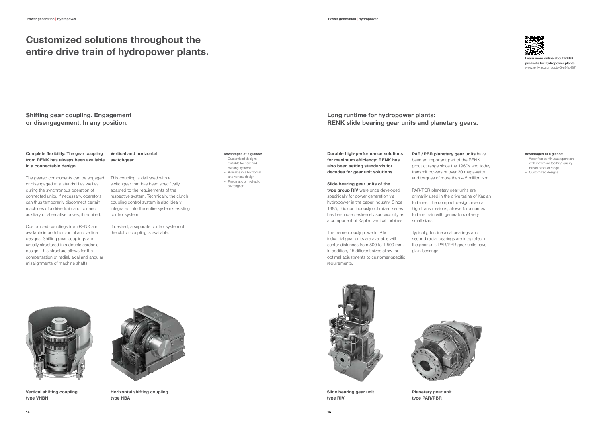Vertical shifting coupling type VHBH



Horizontal shifting coupling type HBA





### Complete flexibility: The gear coupling from RENK has always been available in a connectable design.

The geared components can be engaged or disengaged at a standstill as well as during the synchronous operation of connected units. If necessary, operators can thus temporarily disconnect certain machines of a drive train and connect auxiliary or alternative drives, if required.

Customized couplings from RENK are available in both horizontal and vertical designs. Shifting gear couplings are usually structured in a double cardanic design. This structure allows for the compensation of radial, axial and angular misalignments of machine shafts.

type group RIV were once developed specifically for power generation via hydropower in the paper industry. Since 1985, this continuously optimized series has been used extremely successfully as a component of Kaplan vertical turbines.

## Customized solutions throughout the entire drive train of hydropower plants.

### Advantages at a glance:

- Customized designs – Suitable for new and
- existing systems
- Available in a horizontal and vertical design
- Pneumatic or hydraulic
- switchgear

PAR/PBR planetary gear units have been an important part of the RENK product range since the 1960s and today transmit powers of over 30 megawatts and torques of more than 4.5 million Nm.

### Advantages at a glance:

- Wear-free continuous operation with maximum toothing quality – Broad product range
- Customized designs

Durable high-performance solutions for maximum efficiency: RENK has also been setting standards for decades for gear unit solutions.

### Slide bearing gear units of the

The tremendously powerful RIV industrial gear units are available with center distances from 500 to 1,500 mm. In addition, 15 different sizes allow for optimal adjustments to customer-specific requirements.

PAR/PBR planetary gear units are primarily used in the drive trains of Kaplan turbines. The compact design, even at high transmissions, allows for a narrow turbine train with generators of very small sizes.

Typically, turbine axial bearings and second radial bearings are integrated in the gear unit. PAR/PBR gear units have plain bearings.



## Long runtime for hydropower plants: RENK slide bearing gear units and planetary gears.

## Shifting gear coupling. Engagement or disengagement. In any position.



Slide bearing gear unit type RIV

### Vertical and horizontal switchgear.

This coupling is delivered with a switchgear that has been specifically adapted to the requirements of the respective system. Technically, the clutch coupling control system is also ideally integrated into the entire system's existing control system

If desired, a separate control system of the clutch coupling is available.

Learn more online about RENK products for hydropower plants www.renk-ag.com/goto/6-e24d487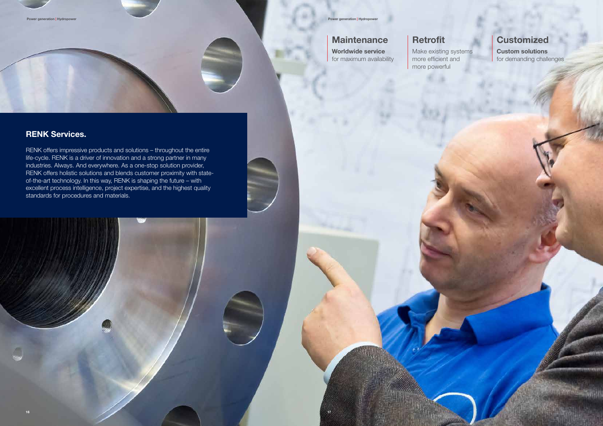**Maintenance** 

## RENK Services.

RENK offers impressive products and solutions – throughout the entire life-cycle. RENK is a driver of innovation and a strong partner in many industries. Always. And everywhere. As a one-stop solution provider, RENK offers holistic solutions and blends customer proximity with stateof-the-art technology. In this way, RENK is shaping the future – with excellent process intelligence, project expertise, and the highest quality standards for procedures and materials.

 $16$  17  $\pm$  17  $\pm$  17  $\pm$  17  $\pm$  17  $\pm$  17  $\pm$  17  $\pm$  17  $\pm$  17  $\pm$  17  $\pm$  17  $\pm$  17  $\pm$  17  $\pm$  17  $\pm$  17  $\pm$  17  $\pm$  17  $\pm$  17  $\pm$  17  $\pm$  17  $\pm$  17  $\pm$  17  $\pm$  17  $\pm$  17  $\pm$  17  $\pm$  17  $\pm$  17  $\pm$ 

## **Customized**

# Retrofit

Make existing systems more efficient and more powerful

Worldwide service for maximum availability Custom solutions for demanding challenges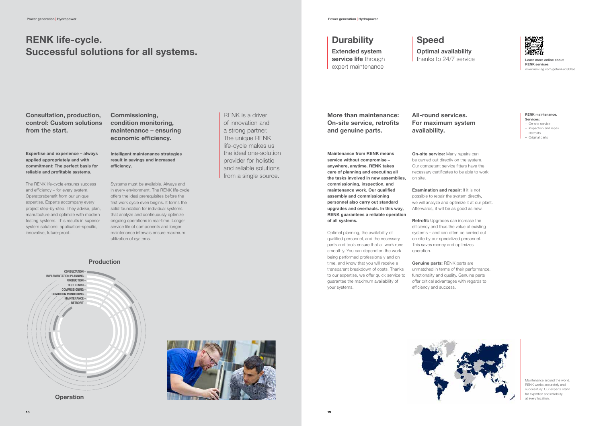Learn more online about RENK services www.renk-ag.com/goto/4-ac306ae

Consultation, production, control: Custom solutions from the start.

Commissioning, condition monitoring, maintenance – ensuring economic efficiency.

# RENK life-cycle. Successful solutions for all systems.

Expertise and experience – always applied appropriately and with commitment: The perfect basis for reliable and profitable systems.

The RENK life-cycle ensures success and efficiency – for every system. Operatorsbenefit from our unique expertise. Experts accompany every project step-by-step. They advise, plan, manufacture and optimize with modern testing systems. This results in superior system solutions: application-specific, innovative, future-proof.

Intelligent maintenance strategies result in savings and increased efficiency.

Systems must be available. Always and in every environment. The RENK life-cycle offers the ideal prerequisites before the first work cycle even begins. It forms the solid foundation for individual systems that analyze and continuously optimize ongoing operations in real-time. Longer service life of components and longer maintenance intervals ensure maximum utilization of systems.

**On-site service:** Many repairs can be carried out directly on the system. Our competent service fitters have the necessary certificates to be able to work on site.

**Examination and repair:** If it is not possible to repair the system directly, we will analyze and optimize it at our plant. Afterwards, it will be as good as new.

RENK is a driver of innovation and a strong partner. The unique RENK

## **Durability**

Retrofit: Upgrades can increase the efficiency and thus the value of existing systems – and can often be carried out on site by our specialized personnel. This saves money and optimizes operation.



Genuine parts: RENK parts are unmatched in terms of their performance, functionality and quality. Genuine parts offer critical advantages with regards to efficiency and success.

More than maintenance: On-site service, retrofits and genuine parts.

# All-round services.





**Operation** 





For maximum system availability.

Maintenance from RENK means service without compromise – anywhere, anytime. RENK takes care of planning and executing all the tasks involved in new assemblies, commissioning, inspection, and maintenance work. Our qualified assembly and commissioning personnel also carry out standard upgrades and overhauls. In this way, RENK guarantees a reliable operation of all systems.

Optimal planning, the availability of qualified personnel, and the necessary parts and tools ensure that all work runs smoothly. You can depend on the work being performed professionally and on time, and know that you will receive a transparent breakdown of costs. Thanks to our expertise, we offer quick service to guarantee the maximum availability of your systems.

### RENK maintenance. Services:

- On-site service
- Inspection and repair
- Retrofits
- Original parts

Extended system service life through expert maintenance

## Speed Optimal availability thanks to 24/7 service

Maintenance around the world. RENK works accurately and successfully. Our experts stand for expertise and reliability at every location.